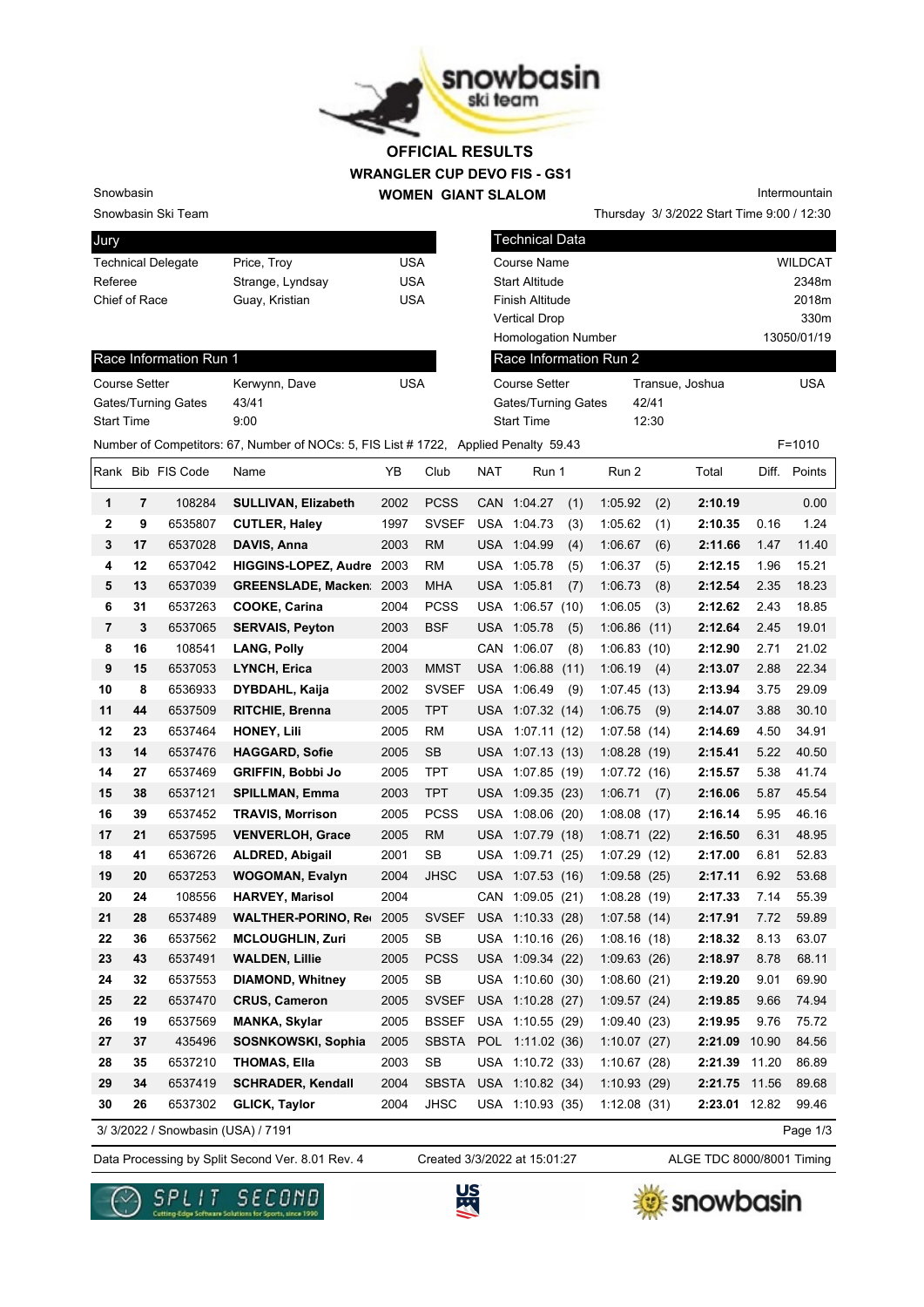

## **WRANGLER CUP DEVO FIS - GS1 WOMEN GIANT SLALOM OFFICIAL RESULTS**

Snowbasin Ski Team

Snowbasin

| Jury                      |                  |     |
|---------------------------|------------------|-----|
| <b>Technical Delegate</b> | Price, Troy      | USA |
| Referee                   | Strange, Lyndsay | USA |
| Chief of Race             | Guay, Kristian   | USA |

| Intermountain                              |
|--------------------------------------------|
| Thursday 3/ 3/2022 Start Time 9:00 / 12:30 |

| Jury                      |                                                                                     |                                    | l Technical Data           |                 |                                                              |
|---------------------------|-------------------------------------------------------------------------------------|------------------------------------|----------------------------|-----------------|--------------------------------------------------------------|
| <b>Technical Delegate</b> | Price, Troy                                                                         | <b>USA</b>                         | Course Name                |                 | <b>WILDCAT</b>                                               |
| Referee                   | Strange, Lyndsay                                                                    | <b>USA</b>                         | <b>Start Altitude</b>      |                 | 2348m                                                        |
| Chief of Race             | Guay, Kristian                                                                      | <b>USA</b>                         | Finish Altitude            |                 | 2018m                                                        |
|                           |                                                                                     |                                    | <b>Vertical Drop</b>       |                 | 330m                                                         |
|                           |                                                                                     |                                    | <b>Homologation Number</b> |                 | 13050/01/19                                                  |
| Race Information Run 1    |                                                                                     |                                    | Race Information Run 2     |                 |                                                              |
| <b>Course Setter</b>      | Kerwynn, Dave                                                                       | <b>USA</b>                         | Course Setter              | Transue, Joshua | <b>USA</b>                                                   |
| Gates/Turning Gates       | 43/41                                                                               |                                    | Gates/Turning Gates        | 42/41           |                                                              |
| <b>Start Time</b>         | 9:00                                                                                |                                    | <b>Start Time</b>          | 12:30           |                                                              |
|                           | Number of Competitors: 67, Number of NOCs: 5, FIS List #1722, Applied Penalty 59.43 |                                    |                            |                 | $F = 1010$                                                   |
| $D = 1$                   |                                                                                     | $\sqrt{2}$<br>$\sim$ $\sim$ $\sim$ | $\cdots$                   | T I             | $\mathbf{r}$<br>$\mathbf{D}$ . $\mathbf{L}$ . $\mathbf{L}$ . |

| Course Setter              | Kerwynn, Dave | <b>USA</b> |
|----------------------------|---------------|------------|
| <b>Gates/Turning Gates</b> | 43/41         |            |
| <b>Start Time</b>          | 9:00          |            |

|                |    | Rank Bib FIS Code                  | Name                        | ΥB   | Club         | <b>NAT</b> | Run 1            |      | Run 2       |      | Total         | Diff. | Points   |
|----------------|----|------------------------------------|-----------------------------|------|--------------|------------|------------------|------|-------------|------|---------------|-------|----------|
| 1              | 7  | 108284                             | <b>SULLIVAN, Elizabeth</b>  | 2002 | <b>PCSS</b>  |            | CAN 1:04.27      | (1)  | 1:05.92     | (2)  | 2:10.19       |       | 0.00     |
| $\mathbf{2}$   | 9  | 6535807                            | <b>CUTLER, Haley</b>        | 1997 | <b>SVSEF</b> |            | USA 1:04.73      | (3)  | 1:05.62     | (1)  | 2:10.35       | 0.16  | 1.24     |
| 3              | 17 | 6537028                            | DAVIS, Anna                 | 2003 | <b>RM</b>    |            | USA 1:04.99      | (4)  | 1:06.67     | (6)  | 2:11.66       | 1.47  | 11.40    |
| 4              | 12 | 6537042                            | <b>HIGGINS-LOPEZ, Audre</b> | 2003 | <b>RM</b>    |            | USA 1:05.78      | (5)  | 1:06.37     | (5)  | 2:12.15       | 1.96  | 15.21    |
| 5              | 13 | 6537039                            | <b>GREENSLADE, Macken</b>   | 2003 | <b>MHA</b>   |            | USA 1:05.81      | (7)  | 1:06.73     | (8)  | 2:12.54       | 2.35  | 18.23    |
| 6              | 31 | 6537263                            | <b>COOKE, Carina</b>        | 2004 | <b>PCSS</b>  | USA        | 1:06.57(10)      |      | 1:06.05     | (3)  | 2:12.62       | 2.43  | 18.85    |
| $\overline{7}$ | 3  | 6537065                            | <b>SERVAIS, Peyton</b>      | 2003 | <b>BSF</b>   |            | USA 1:05.78      | (5)  | 1:06.86     | (11) | 2:12.64       | 2.45  | 19.01    |
| 8              | 16 | 108541                             | LANG, Polly                 | 2004 |              |            | CAN 1:06.07      | (8)  | 1:06.83(10) |      | 2:12.90       | 2.71  | 21.02    |
| 9              | 15 | 6537053                            | LYNCH, Erica                | 2003 | <b>MMST</b>  |            | USA 1:06.88      | (11) | 1:06.19     | (4)  | 2:13.07       | 2.88  | 22.34    |
| 10             | 8  | 6536933                            | DYBDAHL, Kaija              | 2002 | <b>SVSEF</b> |            | USA 1:06.49      | (9)  | 1:07.45     | (13) | 2:13.94       | 3.75  | 29.09    |
| 11             | 44 | 6537509                            | <b>RITCHIE, Brenna</b>      | 2005 | <b>TPT</b>   |            | USA 1:07.32 (14) |      | 1:06.75     | (9)  | 2:14.07       | 3.88  | 30.10    |
| 12             | 23 | 6537464                            | <b>HONEY, Lili</b>          | 2005 | RM           |            | USA 1:07.11 (12) |      | 1:07.58(14) |      | 2:14.69       | 4.50  | 34.91    |
| 13             | 14 | 6537476                            | <b>HAGGARD, Sofie</b>       | 2005 | <b>SB</b>    |            | USA 1:07.13 (13) |      | 1:08.28(19) |      | 2:15.41       | 5.22  | 40.50    |
| 14             | 27 | 6537469                            | <b>GRIFFIN, Bobbi Jo</b>    | 2005 | TPT          |            | USA 1:07.85 (19) |      | 1:07.72(16) |      | 2:15.57       | 5.38  | 41.74    |
| 15             | 38 | 6537121                            | <b>SPILLMAN, Emma</b>       | 2003 | <b>TPT</b>   |            | USA 1:09.35 (23) |      | 1:06.71     | (7)  | 2:16.06       | 5.87  | 45.54    |
| 16             | 39 | 6537452                            | <b>TRAVIS, Morrison</b>     | 2005 | <b>PCSS</b>  |            | USA 1:08.06 (20) |      | 1:08.08(17) |      | 2:16.14       | 5.95  | 46.16    |
| 17             | 21 | 6537595                            | <b>VENVERLOH, Grace</b>     | 2005 | <b>RM</b>    |            | USA 1:07.79 (18) |      | 1:08.71(22) |      | 2:16.50       | 6.31  | 48.95    |
| 18             | 41 | 6536726                            | <b>ALDRED, Abigail</b>      | 2001 | <b>SB</b>    |            | USA 1:09.71 (25) |      | 1:07.29(12) |      | 2:17.00       | 6.81  | 52.83    |
| 19             | 20 | 6537253                            | <b>WOGOMAN, Evalyn</b>      | 2004 | <b>JHSC</b>  |            | USA 1:07.53 (16) |      | 1:09.58(25) |      | 2:17.11       | 6.92  | 53.68    |
| 20             | 24 | 108556                             | <b>HARVEY, Marisol</b>      | 2004 |              |            | CAN 1:09.05 (21) |      | 1:08.28(19) |      | 2:17.33       | 7.14  | 55.39    |
| 21             | 28 | 6537489                            | <b>WALTHER-PORINO, Red</b>  | 2005 | <b>SVSEF</b> |            | USA 1:10.33 (28) |      | 1:07.58(14) |      | 2:17.91       | 7.72  | 59.89    |
| 22             | 36 | 6537562                            | <b>MCLOUGHLIN, Zuri</b>     | 2005 | <b>SB</b>    |            | USA 1:10.16 (26) |      | 1:08.16(18) |      | 2:18.32       | 8.13  | 63.07    |
| 23             | 43 | 6537491                            | <b>WALDEN, Lillie</b>       | 2005 | <b>PCSS</b>  |            | USA 1:09.34 (22) |      | 1:09.63(26) |      | 2:18.97       | 8.78  | 68.11    |
| 24             | 32 | 6537553                            | <b>DIAMOND, Whitney</b>     | 2005 | <b>SB</b>    |            | USA 1:10.60 (30) |      | 1:08.60(21) |      | 2:19.20       | 9.01  | 69.90    |
| 25             | 22 | 6537470                            | <b>CRUS, Cameron</b>        | 2005 | <b>SVSEF</b> |            | USA 1:10.28 (27) |      | 1:09.57(24) |      | 2:19.85       | 9.66  | 74.94    |
| 26             | 19 | 6537569                            | <b>MANKA, Skylar</b>        | 2005 | <b>BSSEF</b> |            | USA 1:10.55 (29) |      | 1:09.40(23) |      | 2:19.95       | 9.76  | 75.72    |
| 27             | 37 | 435496                             | SOSNKOWSKI, Sophia          | 2005 | <b>SBSTA</b> | POL        | 1:11.02(36)      |      | 1:10.07(27) |      | 2:21.09       | 10.90 | 84.56    |
| 28             | 35 | 6537210                            | <b>THOMAS, Ella</b>         | 2003 | <b>SB</b>    | USA        | 1:10.72(33)      |      | 1:10.67(28) |      | 2:21.39       | 11.20 | 86.89    |
| 29             | 34 | 6537419                            | <b>SCHRADER, Kendall</b>    | 2004 | <b>SBSTA</b> |            | USA 1:10.82 (34) |      | 1:10.93(29) |      | 2:21.75       | 11.56 | 89.68    |
| 30             | 26 | 6537302                            | <b>GLICK, Taylor</b>        | 2004 | <b>JHSC</b>  |            | USA 1:10.93 (35) |      | 1:12.08(31) |      | 2:23.01 12.82 |       | 99.46    |
|                |    | 3/ 3/2022 / Snowbasin (USA) / 7191 |                             |      |              |            |                  |      |             |      |               |       | Page 1/3 |

3/ 3/2022 / Snowbasin (USA) / 7191

Created 3/3/2022 at 15:01:27

Data Processing by Split Second Ver. 8.01 Rev. 4 Created 3/3/2022 at 15:01:27 ALGE TDC 8000/8001 Timing





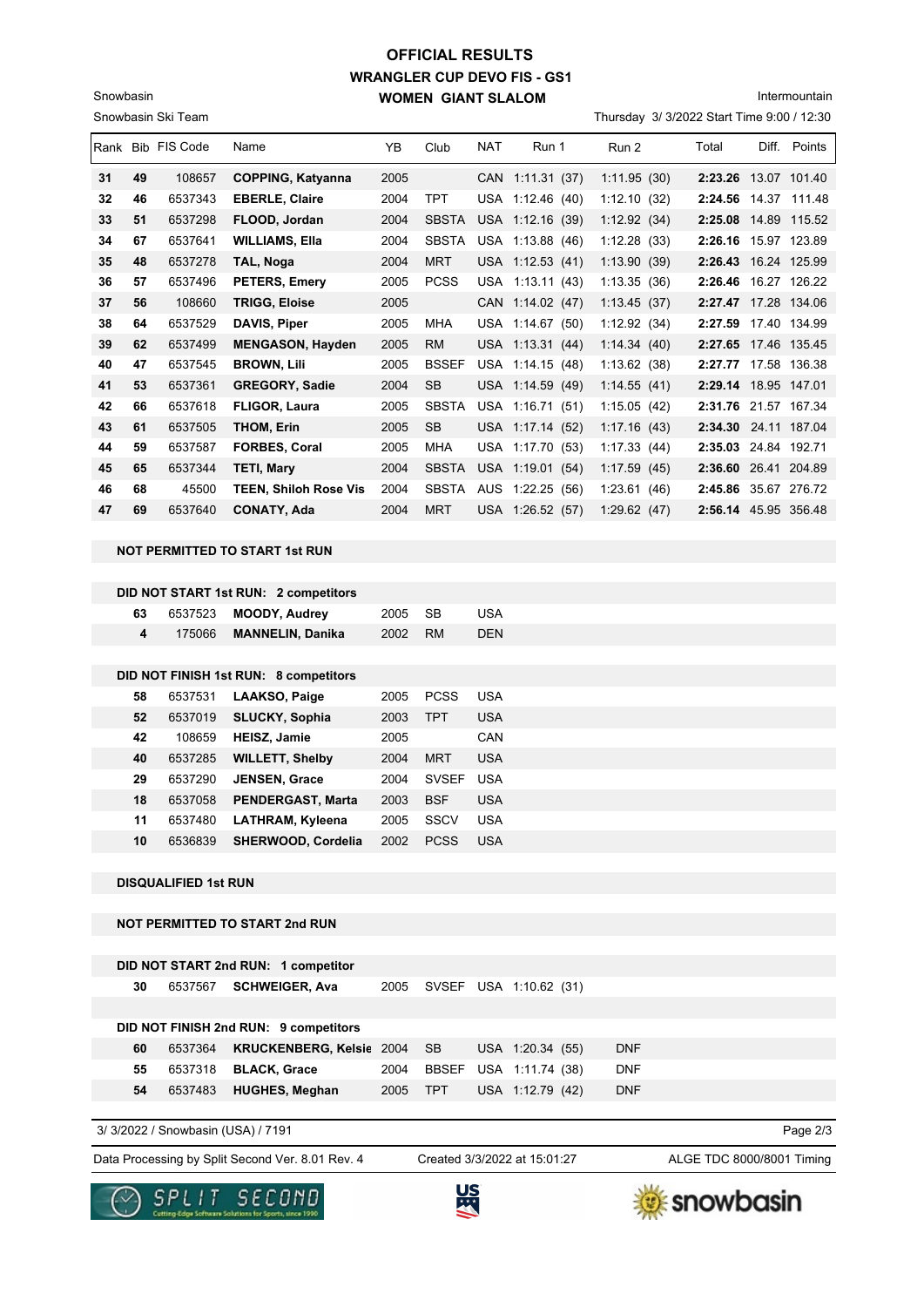## **WRANGLER CUP DEVO FIS - GS1 WOMEN GIANT SLALOM OFFICIAL RESULTS**

Intermountain

Thursday 3/ 3/2022 Start Time 9:00 / 12:30

|    |    | Rank Bib FIS Code | Name                         | YB.  | Club         | <b>NAT</b> | Run 1            | Run 2           | Total                | Diff. | Points       |
|----|----|-------------------|------------------------------|------|--------------|------------|------------------|-----------------|----------------------|-------|--------------|
| 31 | 49 | 108657            | <b>COPPING, Katyanna</b>     | 2005 |              | <b>CAN</b> | 1:11.31(37)      | 1:11.95(30)     | 2:23.26 13.07 101.40 |       |              |
| 32 | 46 | 6537343           | <b>EBERLE, Claire</b>        | 2004 | <b>TPT</b>   | USA        | 1:12.46(40)      | 1:12.10(32)     | 2:24.56              | 14.37 | 111.48       |
| 33 | 51 | 6537298           | FLOOD, Jordan                | 2004 | <b>SBSTA</b> |            | USA 1:12.16 (39) | 1:12.92(34)     | 2:25.08              |       | 14.89 115.52 |
| 34 | 67 | 6537641           | <b>WILLIAMS, Ella</b>        | 2004 | <b>SBSTA</b> | USA        | 1:13.88(46)      | 1:12.28(33)     | 2:26.16              |       | 15.97 123.89 |
| 35 | 48 | 6537278           | TAL, Noga                    | 2004 | <b>MRT</b>   |            | USA 1:12.53 (41) | 1:13.90(39)     | 2:26.43 16.24 125.99 |       |              |
| 36 | 57 | 6537496           | <b>PETERS, Emery</b>         | 2005 | <b>PCSS</b>  | <b>USA</b> | 1:13.11(43)      | 1:13.35(36)     | 2:26.46              |       | 16.27 126.22 |
| 37 | 56 | 108660            | <b>TRIGG, Eloise</b>         | 2005 |              |            | CAN 1:14.02 (47) | 1:13.45(37)     | 2:27.47 17.28 134.06 |       |              |
| 38 | 64 | 6537529           | DAVIS, Piper                 | 2005 | MHA          | USA        | 1:14.67(50)      | 1:12.92(34)     | 2:27.59              |       | 17.40 134.99 |
| 39 | 62 | 6537499           | <b>MENGASON, Hayden</b>      | 2005 | <b>RM</b>    |            | USA 1:13.31 (44) | 1:14.34(40)     | 2:27.65 17.46 135.45 |       |              |
| 40 | 47 | 6537545           | <b>BROWN, Lili</b>           | 2005 | <b>BSSEF</b> |            | USA 1:14.15 (48) | 1:13.62(38)     | 2:27.77              |       | 17.58 136.38 |
| 41 | 53 | 6537361           | <b>GREGORY, Sadie</b>        | 2004 | <b>SB</b>    |            | USA 1:14.59 (49) | 1:14.55(41)     | 2:29.14 18.95 147.01 |       |              |
| 42 | 66 | 6537618           | <b>FLIGOR, Laura</b>         | 2005 | <b>SBSTA</b> | USA        | 1:16.71(51)      | 1:15.05(42)     | 2:31.76 21.57 167.34 |       |              |
| 43 | 61 | 6537505           | <b>THOM, Erin</b>            | 2005 | <b>SB</b>    | <b>USA</b> | 1:17.14(52)      | 1:17.16(43)     | 2:34.30              |       | 24.11 187.04 |
| 44 | 59 | 6537587           | <b>FORBES, Coral</b>         | 2005 | <b>MHA</b>   | <b>USA</b> | 1:17.70<br>(53)  | 1:17.33(44)     | 2:35.03              |       | 24.84 192.71 |
| 45 | 65 | 6537344           | <b>TETI, Mary</b>            | 2004 | <b>SBSTA</b> | <b>USA</b> | 1:19.01<br>(54)  | 1:17.59(45)     | 2:36.60              |       | 26.41 204.89 |
| 46 | 68 | 45500             | <b>TEEN, Shiloh Rose Vis</b> | 2004 | <b>SBSTA</b> | AUS        | 1:22.25<br>(56)  | 1:23.61<br>(46) | 2:45.86              |       | 35.67 276.72 |
| 47 | 69 | 6537640           | <b>CONATY, Ada</b>           | 2004 | <b>MRT</b>   | <b>USA</b> | 1:26.52(57)      | 1:29.62(47)     | 2:56.14 45.95 356.48 |       |              |

**NOT PERMITTED TO START 1st RUN**

Snowbasin Ski Team

Snowbasin

|    |         | DID NOT START 1st RUN: 2 competitors  |      |              |            |
|----|---------|---------------------------------------|------|--------------|------------|
| 63 | 6537523 | <b>MOODY, Audrey</b>                  | 2005 | <b>SB</b>    | <b>USA</b> |
| 4  | 175066  | <b>MANNELIN, Danika</b>               | 2002 | <b>RM</b>    | <b>DEN</b> |
|    |         |                                       |      |              |            |
|    |         | DID NOT FINISH 1st RUN: 8 competitors |      |              |            |
| 58 | 6537531 | LAAKSO, Paige                         | 2005 | <b>PCSS</b>  | <b>USA</b> |
| 52 | 6537019 | <b>SLUCKY, Sophia</b>                 | 2003 | <b>TPT</b>   | <b>USA</b> |
| 42 | 108659  | <b>HEISZ, Jamie</b>                   | 2005 |              | CAN        |
| 40 | 6537285 | <b>WILLETT, Shelby</b>                | 2004 | <b>MRT</b>   | <b>USA</b> |
| 29 | 6537290 | <b>JENSEN, Grace</b>                  | 2004 | <b>SVSEF</b> | <b>USA</b> |
| 18 | 6537058 | <b>PENDERGAST, Marta</b>              | 2003 | <b>BSF</b>   | <b>USA</b> |
| 11 | 6537480 | LATHRAM, Kyleena                      | 2005 | SSCV         | <b>USA</b> |
| 10 | 6536839 | SHERWOOD, Cordelia                    | 2002 | <b>PCSS</b>  | <b>USA</b> |
|    |         |                                       |      |              |            |

**DISQUALIFIED 1st RUN**

**NOT PERMITTED TO START 2nd RUN**

|    |         | DID NOT START 2nd RUN: 1 competitor   |      |              |                        |            |  |  |
|----|---------|---------------------------------------|------|--------------|------------------------|------------|--|--|
| 30 | 6537567 | <b>SCHWEIGER, Ava</b>                 | 2005 |              | SVSEF USA 1:10.62 (31) |            |  |  |
|    |         |                                       |      |              |                        |            |  |  |
|    |         | DID NOT FINISH 2nd RUN: 9 competitors |      |              |                        |            |  |  |
| 60 | 6537364 | <b>KRUCKENBERG, Kelsic 2004</b>       |      | SB.          | USA 1:20.34 (55)       | <b>DNF</b> |  |  |
| 55 | 6537318 | <b>BLACK, Grace</b>                   | 2004 | <b>BBSEF</b> | USA 1:11.74 (38)       | <b>DNF</b> |  |  |
| 54 | 6537483 | <b>HUGHES, Meghan</b>                 | 2005 | <b>TPT</b>   | USA 1:12.79 (42)       | <b>DNF</b> |  |  |
|    |         |                                       |      |              |                        |            |  |  |

3/ 3/2022 / Snowbasin (USA) / 7191

Data Processing by Split Second Ver. 8.01 Rev. 4 Created 3/3/2022 at 15:01:27 ALGE TDC 8000/8001 Timing

Created 3/3/2022 at 15:01:27

Page 2/3